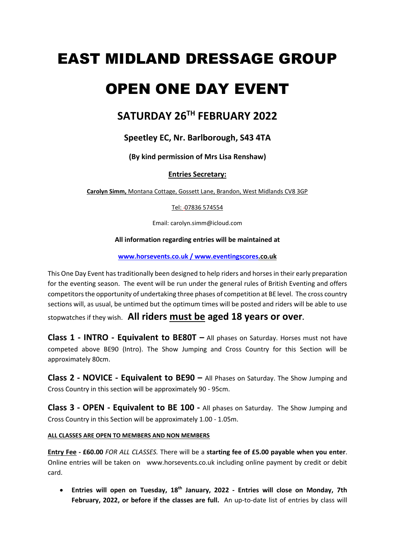# EAST MIDLAND DRESSAGE GROUP

# OPEN ONE DAY EVENT

# **SATURDAY 26 TH FEBRUARY 2022**

# **Speetley EC, Nr. Barlborough, S43 4TA**

**(By kind permission of Mrs Lisa Renshaw)**

# **Entries Secretary:**

**Carolyn Simm,** Montana Cottage, Gossett Lane, Brandon, West Midlands CV8 3GP

Tel: 07836 574554

Email: carolyn.simm@icloud.com

# **All information regarding entries will be maintained at**

**www.horsevents.co.uk / www.eventingscores.co.uk**

This One Day Event has traditionally been designed to help riders and horses in their early preparation for the eventing season. The event will be run under the general rules of British Eventing and offers competitors the opportunity of undertaking three phases of competition at BE level. The cross country sections will, as usual, be untimed but the optimum times will be posted and riders will be able to use stopwatches if they wish. **All riders must be aged 18 years or over.**

**Class 1 - INTRO - Equivalent to BE80T –** All phases on Saturday. Horses must not have competed above BE90 (Intro). The Show Jumping and Cross Country for this Section will be approximately 80cm.

**Class 2 - NOVICE - Equivalent to BE90 –** All Phases on Saturday. The Show Jumping and Cross Country in this section will be approximately 90 - 95cm.

**Class 3 - OPEN - Equivalent to BE 100 -** All phases on Saturday. The Show Jumping and Cross Country in this Section will be approximately 1.00 - 1.05m.

# **ALL CLASSES ARE OPEN TO MEMBERS AND NON MEMBERS**

**Entry Fee - £60.00** *FOR ALL CLASSES.* There will be a **starting fee of £5.00 payable when you enter**. Online entries will be taken on www.horsevents.co.uk including online payment by credit or debit card.

• **Entries will open on Tuesday, 18 th January, 2022 - Entries will close on Monday, 7th February, 2022, or before if the classes are full.** An up-to-date list of entries by class will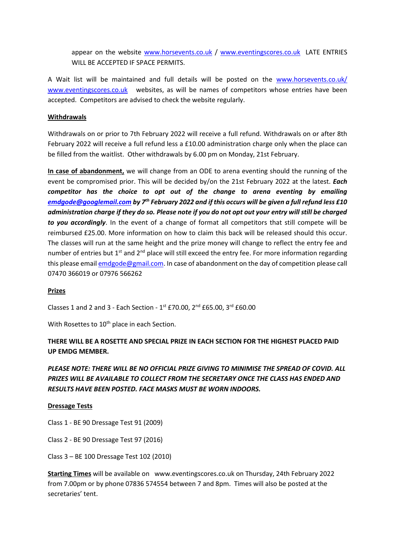appear on the website [www.horsevents.co.uk](http://www.horsevents.co.uk/) / [www.eventingscores.co.uk](http://www.eventingscores.co.uk/) LATE ENTRIES WILL BE ACCEPTED IF SPACE PERMITS.

A Wait list will be maintained and full details will be posted on the [www.horsevents.co.uk/](http://www.horsevents.co.uk/) [www.eventingscores.co.uk](http://www.eventingscores.co.uk/) websites, as will be names of competitors whose entries have been accepted. Competitors are advised to check the website regularly.

#### **Withdrawals**

Withdrawals on or prior to 7th February 2022 will receive a full refund. Withdrawals on or after 8th February 2022 will receive a full refund less a £10.00 administration charge only when the place can be filled from the waitlist. Other withdrawals by 6.00 pm on Monday, 21st February.

**In case of abandonment,** we will change from an ODE to arena eventing should the running of the event be compromised prior. This will be decided by/on the 21st February 2022 at the latest. *Each competitor has the choice to opt out of the change to arena eventing by emailing [emdgode@googlemail.com](mailto:emdgode@googlemail.com) by 7th February 2022 and if this occurs will be given a full refund less £10 administration charge if they do so. Please note if you do not opt out your entry will still be charged to you accordingly*. In the event of a change of format all competitors that still compete will be reimbursed £25.00. More information on how to claim this back will be released should this occur. The classes will run at the same height and the prize money will change to reflect the entry fee and number of entries but 1<sup>st</sup> and 2<sup>nd</sup> place will still exceed the entry fee. For more information regarding this please emai[l emdgode@gmail.com.](mailto:emdgode@gmail.com) In case of abandonment on the day of competition please call 07470 366019 or 07976 566262

# **Prizes**

Classes 1 and 2 and 3 - Each Section -  $1^{st}$  £70.00,  $2^{nd}$  £65.00,  $3^{rd}$  £60.00

With Rosettes to 10<sup>th</sup> place in each Section.

# **THERE WILL BE A ROSETTE AND SPECIAL PRIZE IN EACH SECTION FOR THE HIGHEST PLACED PAID UP EMDG MEMBER.**

# *PLEASE NOTE: THERE WILL BE NO OFFICIAL PRIZE GIVING TO MINIMISE THE SPREAD OF COVID. ALL PRIZES WILL BE AVAILABLE TO COLLECT FROM THE SECRETARY ONCE THE CLASS HAS ENDED AND RESULTS HAVE BEEN POSTED. FACE MASKS MUST BE WORN INDOORS.*

#### **Dressage Tests**

- Class 1 BE 90 Dressage Test 91 (2009)
- Class 2 BE 90 Dressage Test 97 (2016)
- Class 3 BE 100 Dressage Test 102 (2010)

**Starting Times** will be available on www.eventingscores.co.uk on Thursday, 24th February 2022 from 7.00pm or by phone 07836 574554 between 7 and 8pm. Times will also be posted at the secretaries' tent.